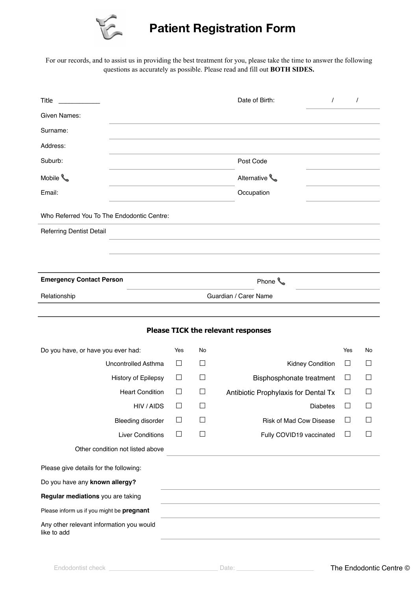

## **Patient Registration Form**

For our records, and to assist us in providing the best treatment for you, please take the time to answer the following questions as accurately as possible. Please read and fill out **BOTH SIDES.** 

| Title                                      |            |        | Date of Birth:<br>$\prime$           | $\prime$ |        |  |  |  |  |  |
|--------------------------------------------|------------|--------|--------------------------------------|----------|--------|--|--|--|--|--|
| Given Names:                               |            |        |                                      |          |        |  |  |  |  |  |
| Surname:                                   |            |        |                                      |          |        |  |  |  |  |  |
| Address:                                   |            |        |                                      |          |        |  |  |  |  |  |
| Suburb:                                    |            |        | Post Code                            |          |        |  |  |  |  |  |
| Mobile <b>L</b>                            |            |        | Alternative                          |          |        |  |  |  |  |  |
| Email:                                     | Occupation |        |                                      |          |        |  |  |  |  |  |
| Who Referred You To The Endodontic Centre: |            |        |                                      |          |        |  |  |  |  |  |
| <b>Referring Dentist Detail</b>            |            |        |                                      |          |        |  |  |  |  |  |
|                                            |            |        |                                      |          |        |  |  |  |  |  |
|                                            |            |        |                                      |          |        |  |  |  |  |  |
| <b>Emergency Contact Person</b>            |            |        | Phone <b>L</b>                       |          |        |  |  |  |  |  |
| Relationship                               |            |        | Guardian / Carer Name                |          |        |  |  |  |  |  |
|                                            |            |        |                                      |          |        |  |  |  |  |  |
| Please TICK the relevant responses         |            |        |                                      |          |        |  |  |  |  |  |
|                                            |            |        |                                      |          |        |  |  |  |  |  |
| Do you have, or have you ever had:         | Yes        | No     |                                      | Yes      | No     |  |  |  |  |  |
| Uncontrolled Asthma                        | П          | ⊔      | Kidney Condition                     | $\Box$   | $\Box$ |  |  |  |  |  |
| History of Epilepsy                        | $\Box$     | $\Box$ | Bisphosphonate treatment             | $\Box$   | П      |  |  |  |  |  |
| <b>Heart Condition</b>                     | $\Box$     | □      | Antibiotic Prophylaxis for Dental Tx | □        | $\Box$ |  |  |  |  |  |
| HIV / AIDS                                 | $\Box$     | $\Box$ | Diabetes                             | $\Box$   | $\Box$ |  |  |  |  |  |
| <b>Bleeding disorder</b>                   |            |        | <b>Risk of Mad Cow Disease</b>       | ⊔        |        |  |  |  |  |  |
| <b>Liver Conditions</b>                    | П          | $\Box$ | Fully COVID19 vaccinated             | $\Box$   | П      |  |  |  |  |  |
| Other condition not listed above           |            |        |                                      |          |        |  |  |  |  |  |
| Please give details for the following:     |            |        |                                      |          |        |  |  |  |  |  |
| Do you have any known allergy?             |            |        |                                      |          |        |  |  |  |  |  |
| Regular mediations you are taking          |            |        |                                      |          |        |  |  |  |  |  |
| Please inform us if you might be pregnant  |            |        |                                      |          |        |  |  |  |  |  |